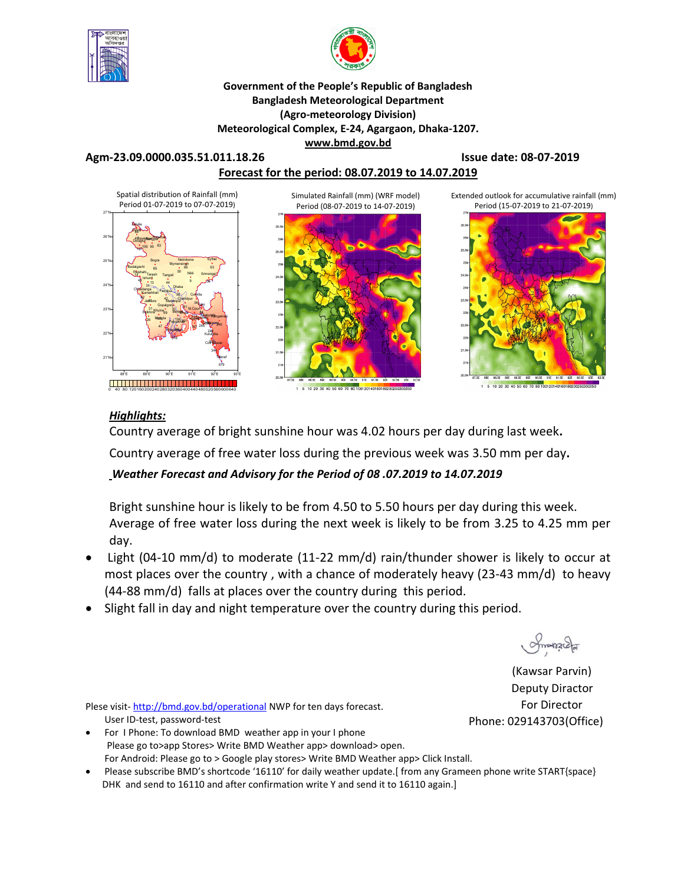



#### **Government of the People's Republic of Bangladesh Bangladesh Meteorological Department (Agro-meteorology Division) Meteorological Complex, E-24, Agargaon, Dhaka-1207. www.bmd.gov.bd**

#### **Agm-23.09.0000.035.51.011.18.26 Issue date: 08-07-2019**

### **Forecast for the period: 08.07.2019 to 14.07.2019**

Simulated Rainfall (mm) (WRF model)





1 5 10 20 30 40 50 60 70 80 100120140160

Extended outlook for accumulative rainfall (mm) Period (15-07-2019 to 21-07-2019)



#### *Highlights:*

Country average of bright sunshine hour was 4.02 hours per day during last week**.** 

Country average of free water loss during the previous week was 3.50 mm per day**.** 

### *Weather Forecast and Advisory for the Period of 08 .07.2019 to 14.07.2019*

Bright sunshine hour is likely to be from 4.50 to 5.50 hours per day during this week. Average of free water loss during the next week is likely to be from 3.25 to 4.25 mm per day.

- Light (04-10 mm/d) to moderate (11-22 mm/d) rain/thunder shower is likely to occur at most places over the country , with a chance of moderately heavy (23-43 mm/d) to heavy (44-88 mm/d) falls at places over the country during this period.
- Slight fall in day and night temperature over the country during this period.

Smanage

(Kawsar Parvin) Deputy Diractor For Director Phone: 029143703(Office)

Plese visit-http://bmd.gov.bd/operational NWP for ten days forecast. User ID-test, password-test

 For I Phone: To download BMD weather app in your I phone Please go to>app Stores> Write BMD Weather app> download> open. For Android: Please go to > Google play stores> Write BMD Weather app> Click Install.

Please subscribe BMD's shortcode '16110' for daily weather update.[ from any Grameen phone write START{space} DHK and send to 16110 and after confirmation write Y and send it to 16110 again.]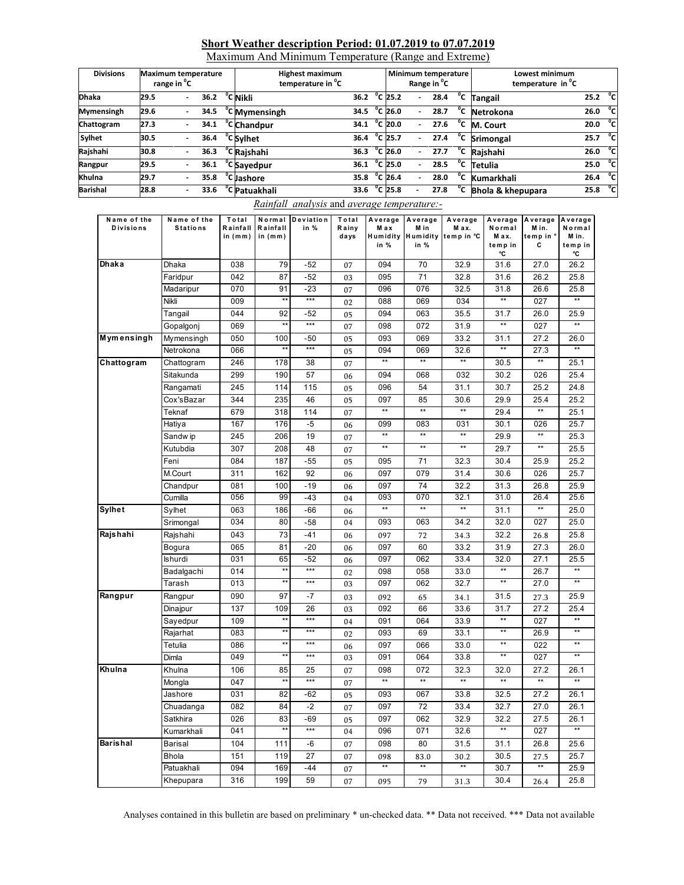#### **Short Weather description Period: 01.07.2019 to 07.07.2019**

Maximum And Minimum Temperature (Range and Extreme)

| <b>Divisions</b>  | <b>Maximum temperature</b><br>range in <sup>o</sup> C |  |      | <b>Highest maximum</b><br>temperature in <sup>o</sup> C |                        |  |                   |                          | Minimum temperature<br>Range in <sup>o</sup> C |              | Lowest minimum<br>temperature in <sup>o</sup> C |                     |     |
|-------------------|-------------------------------------------------------|--|------|---------------------------------------------------------|------------------------|--|-------------------|--------------------------|------------------------------------------------|--------------|-------------------------------------------------|---------------------|-----|
| <b>Dhaka</b>      | 29.5                                                  |  | 36.2 | °C Nikli                                                | 36.2 $\degree$ C 25.2  |  |                   | ۰.                       | 28.4                                           | $^{\circ}$ c | <b>Tangail</b>                                  | 25.2 $^{\circ}$ C   |     |
| <b>Mymensingh</b> | 29.6                                                  |  | 34.5 | <sup>o</sup> C Mymensingh                               | 34.5 $^{\circ}$ C 26.0 |  |                   | ۰.                       | 28.7                                           | °c           | Netrokona                                       | 26.0                | ้ค่ |
| Chattogram        | 27.3                                                  |  | 34.1 | <sup>°</sup> C Chandpur                                 | 34.1                   |  | °C 20.0           |                          | 27.6                                           | $^{\circ}$ c | M. Court                                        | $20.0\degree$ C     |     |
| <b>Sylhet</b>     | 30.5                                                  |  | 36.4 | <sup>o</sup> C Sylhet                                   | 36.4                   |  | °C 25.7           |                          | 27.4                                           | $^{\circ}$ c | Srimongal                                       | 25.7 $^{\circ}$ C   |     |
| Rajshahi          | 30.8                                                  |  | 36.3 | <sup>o</sup> C Rajshahi                                 | 36.3                   |  | °C 26.0           |                          | 27.7                                           |              | <sup>o</sup> C Rajshahi                         | 26.0                | ្ភ  |
| Rangpur           | 29.5                                                  |  | 36.1 | <sup>o</sup> C Sayedpur                                 | 36.1                   |  | $^{\circ}$ C 25.0 | $\overline{\phantom{0}}$ | 28.5                                           | °c           | Tetulia                                         | 25.0                | ្ភ  |
| Khulna            | 29.7                                                  |  | 35.8 | <sup>o</sup> C Jashore                                  | 35.8 °C 26.4           |  |                   |                          | 28.0                                           | °c           | Kumarkhali                                      | 26.4 $^{\circ}$ C   |     |
| <b>Barishal</b>   | 28.8                                                  |  | 33.6 | <sup>°</sup> C Patuakhali                               | 33.6 $^{\circ}$ C 25.8 |  |                   |                          | 27.8                                           | °c           | Bhola & khepupara                               | 25.8 <sup>o</sup> C |     |

#### *Rainfall analysis* and *average temperature:-*

| Name of the<br><b>Divisions</b> | Name of the<br><b>Stations</b> | Total<br>Rainfall<br>in $(mm)$ | Rainfall<br>in $(mm)$ | Normal Deviation<br>in % | Total<br>Rainy<br>days | Average<br>M ax<br>in % | Average<br>M in<br>Humidity Humidity<br>in % | Average<br>M ax.<br>temp in °C | Average<br>Normal<br>M ax.<br>temp in<br>°C | Average<br>Min.<br>temp in '<br>C | Average<br>Normal<br>M in.<br>temp in<br>°C |
|---------------------------------|--------------------------------|--------------------------------|-----------------------|--------------------------|------------------------|-------------------------|----------------------------------------------|--------------------------------|---------------------------------------------|-----------------------------------|---------------------------------------------|
| Dhaka                           | Dhaka                          | 038                            | 79                    | $-52$                    | 07                     | 094                     | 70                                           | 32.9                           | 31.6                                        | 27.0                              | 26.2                                        |
|                                 | Faridpur                       | 042                            | 87                    | $-52$                    | 03                     | 095                     | 71                                           | 32.8                           | 31.6                                        | 26.2                              | 25.8                                        |
|                                 | Madaripur                      | 070                            | 91                    | $-23$                    | 07                     | 096                     | 076                                          | 32.5                           | 31.8                                        | 26.6                              | 25.8                                        |
|                                 | Nikli                          | 009                            | $\overline{**}$       | $***$                    | 02                     | 088                     | 069                                          | 034                            | $\star\star$                                | 027                               | $\overline{1}$                              |
|                                 | Tangail                        | 044                            | 92                    | $-52$                    | 05                     | 094                     | 063                                          | 35.5                           | 31.7                                        | 26.0                              | 25.9                                        |
|                                 | Gopalgonj                      | 069                            | $\star\star$          | $***$                    | 07                     | 098                     | 072                                          | 31.9                           | **                                          | 027                               | $\star\star$                                |
| Mymensingh                      | Mymensingh                     | 050                            | 100                   | -50                      | 05                     | 093                     | 069                                          | 33.2                           | 31.1                                        | 27.2                              | 26.0                                        |
|                                 | Netrokona                      | 066                            | $\star\star$          | $***$                    | 05                     | 094                     | 069                                          | 32.6                           | $\star\star$                                | 27.3                              |                                             |
| Chattogram                      | Chattogram                     | 246                            | 178                   | 38                       | 07                     | $\star\star$            | $\star\star$                                 | $\star\star$                   | 30.5                                        | $\ddot{\ast}$                     | 25.1                                        |
|                                 | Sitakunda                      | 299                            | 190                   | 57                       | 06                     | 094                     | 068                                          | 032                            | 30.2                                        | 026                               | 25.4                                        |
|                                 | Rangamati                      | 245                            | 114                   | 115                      | 05                     | 096                     | 54                                           | 31.1                           | 30.7                                        | 25.2                              | 24.8                                        |
|                                 | Cox'sBazar                     | 344                            | 235                   | 46                       | 05                     | 097                     | 85                                           | 30.6                           | 29.9                                        | 25.4                              | 25.2                                        |
|                                 | Teknaf                         | 679                            | 318                   | 114                      | 07                     | $\star\star$            | $\star\star$                                 | $\star\star$                   | 29.4                                        | $\star\star$                      | 25.1                                        |
|                                 | Hatiya                         | 167                            | 176                   | $-5$                     | 06                     | 099                     | 083                                          | 031                            | 30.1                                        | 026                               | 25.7                                        |
|                                 | Sandw ip                       | 245                            | 206                   | 19                       | 07                     | $\star\star$            | $\star\star$                                 | $\star\star$                   | 29.9                                        | $\star\star$                      | 25.3                                        |
|                                 | Kutubdia                       | 307                            | 208                   | 48                       | 07                     | $**$                    | $\star\star$                                 | $\star\star$                   | 29.7                                        | **                                | 25.5                                        |
|                                 | Feni                           | 084                            | 187                   | $-55$                    | 05                     | 095                     | 71                                           | 32.3                           | 30.4                                        | 25.9                              | 25.2                                        |
|                                 | M.Court                        | 311                            | 162                   | 92                       | 06                     | 097                     | 079                                          | 31.4                           | 30.6                                        | 026                               | 25.7                                        |
|                                 | Chandpur                       | 081                            | 100                   | $-19$                    | 06                     | 097                     | 74                                           | 32.2                           | 31.3                                        | 26.8                              | 25.9                                        |
|                                 | Cumilla                        | 056                            | 99                    | $-43$                    | 04                     | 093                     | 070                                          | 32.1                           | 31.0                                        | 26.4                              | 25.6                                        |
| Sylhet                          | Sylhet                         | 063                            | 186                   | $-66$                    | 06                     | $\overline{**}$         | $\star\star$                                 | $\star\star$                   | 31.1                                        | **                                | 25.0                                        |
|                                 | Srimongal                      | 034                            | 80                    | $-58$                    | 04                     | 093                     | 063                                          | 34.2                           | 32.0                                        | 027                               | 25.0                                        |
| Rajshahi                        | Rajshahi                       | 043                            | 73                    | $-41$                    | 06                     | 097                     | 72                                           | 34.3                           | 32.2                                        | 26.8                              | 25.8                                        |
|                                 | Bogura                         | 065                            | 81                    | $-20$                    | 06                     | 097                     | 60                                           | 33.2                           | 31.9                                        | 27.3                              | 26.0                                        |
|                                 | Ishurdi                        | 031                            | 65                    | $-52$                    | 06                     | 097                     | 062                                          | 33.4                           | 32.0                                        | 27.1                              | 25.5                                        |
|                                 | Badalgachi                     | 014                            | $**$                  | $***$                    | 02                     | 098                     | 058                                          | 33.0                           | $^{\star\star}$                             | 26.7                              | $\star\star$                                |
|                                 | Tarash                         | 013                            | $\overline{1}$        | $***$                    | 03                     | 097                     | 062                                          | 32.7                           | $\overline{**}$                             | 27.0                              | $\overline{}$                               |
| Rangpur                         | Rangpur                        | 090                            | 97                    | $-7$                     | 03                     | 092                     | 65                                           | 34.1                           | 31.5                                        | 27.3                              | 25.9                                        |
|                                 | Dinajpur                       | 137                            | 109                   | 26                       | 03                     | 092                     | 66                                           | 33.6                           | 31.7                                        | 27.2                              | 25.4                                        |
|                                 | Sayedpur                       | 109                            | $\star\star$          | $***$                    | 04                     | 091                     | 064                                          | 33.9                           | $\star\star$                                | 027                               | $\star\star$                                |
|                                 | Rajarhat                       | 083                            | $\star\star$          | $***$                    | 02                     | 093                     | 69                                           | 33.1                           | $^{\star\star}$                             | 26.9                              | $\star\star$                                |
|                                 | Tetulia                        | 086                            | $\star\star$          | $***$                    | 06                     | 097                     | 066                                          | 33.0                           | $\star\star$                                | 022                               | $\star\star$                                |
|                                 | Dimla                          | 049                            | $\star\star$          | $***$                    | 03                     | 091                     | 064                                          | 33.8                           | $\star\star$                                | 027                               | $\star\star$                                |
| Khulna                          | Khulna                         | 106                            | 85                    | 25                       | 07                     | 098                     | 072                                          | 32.3                           | 32.0                                        | 27.2                              | 26.1                                        |
|                                 | Mongla                         | 047                            | $\star\star$          | $***$                    | 07                     | $\star\star$            | $\star\star$                                 | $\star\star$                   | $\star\star$                                | $\star\star$                      | $\ddot{x}$                                  |
|                                 | Jashore                        | 031                            | 82                    | $-62$                    | 05                     | 093                     | 067                                          | 33.8                           | 32.5                                        | 27.2                              | 26.1                                        |
|                                 | Chuadanga                      | 082                            | 84                    | $-2$                     | 07                     | 097                     | 72                                           | 33.4                           | 32.7                                        | 27.0                              | 26.1                                        |
|                                 | Satkhira                       | 026                            | 83                    | $-69$                    | 05                     | 097                     | 062                                          | 32.9                           | 32.2                                        | 27.5                              | 26.1                                        |
|                                 | Kumarkhali                     | 041                            |                       | $***$                    | 04                     | 096                     | 071                                          | 32.6                           |                                             | 027                               |                                             |
| <b>Barishal</b>                 | Barisal                        | 104                            | 111                   | -6                       | 07                     | 098                     | 80                                           | 31.5                           | 31.1                                        | 26.8                              | 25.6                                        |
|                                 | <b>Bhola</b>                   | 151                            | 119                   | 27                       | 07                     | 098                     | 83.0                                         | 30.2                           | 30.5                                        | 27.5                              | 25.7                                        |
|                                 | Patuakhali                     | 094                            | 169                   | $-44$                    | 07                     | $\star\star$            | $\star\star$                                 | $\star\star$                   | 30.7                                        | $\star\star$                      | 25.9                                        |
|                                 | Khepupara                      | 316                            | 199                   | 59                       | 07                     | 095                     | 79                                           | 31.3                           | 30.4                                        | 26.4                              | 25.8                                        |

Analyses contained in this bulletin are based on preliminary \* un-checked data. \*\* Data not received. \*\*\* Data not available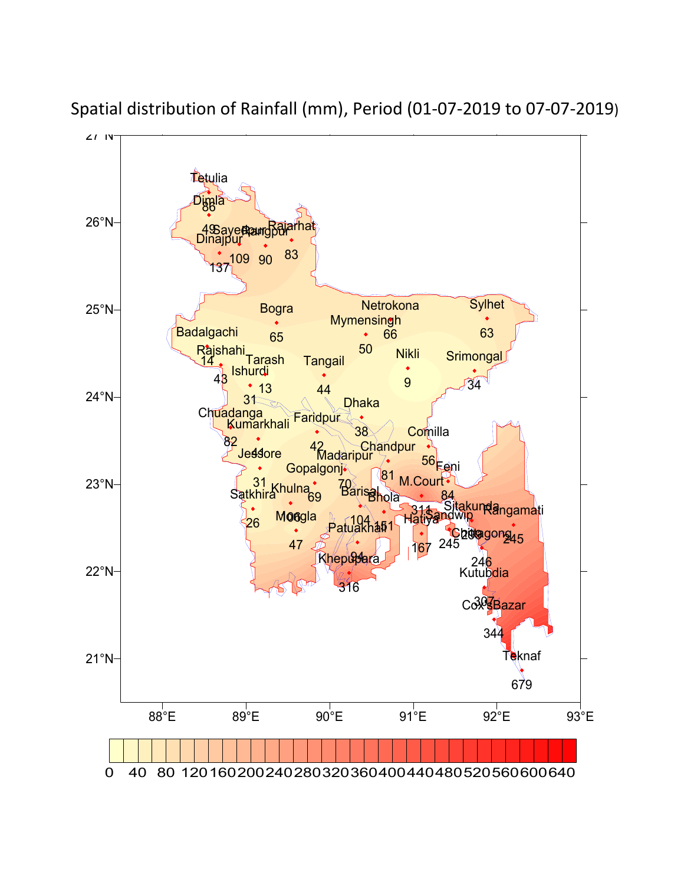

Spatial distribution of Rainfall (mm), Period (01-07-2019 to 07-07-2019)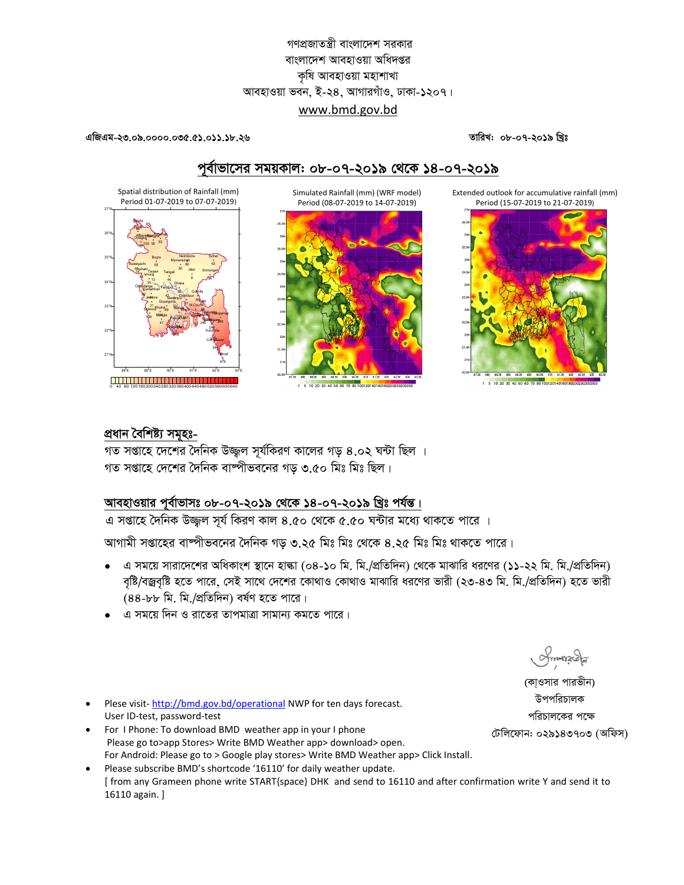## গণপ্রজাতন্ত্রী বাংলাদেশ সরকার বাংলাদেশ আবহাওয়া অধিদপ্তর কৃষি আবহাওয়া মহাশাখা আবহাওয়া ভবন, ই-২৪, আগারগাঁও, ঢাকা-১২০৭। www.bmd.gov.bd

এজিএম-২৩.০৯.০০০০.০৩৫.৫১.০১১.১৮.২৬

Spatial distribution of Rainfall (mm)

Period 01-07-2019 to 07-07-2019)

তারিখ: ০৮-০৭-২০১৯ খ্রিঃ

# পূর্বাভাসের সময়কাল: ০৮-০৭-২০১৯ থেকে ১৪-০৭-২০১৯

Simulated Rainfall (mm) (WRF model) Period (08-07-2019 to 14-07-2019)



1 5 10 20 30 40 50 60 70 80 100120140160180200250

Extended outlook for accumulative rainfall (mm) Period (15-07-2019 to 21-07-2019)



## প্ৰধান বৈশিষ্ট্য সমূহঃ-

গত সপ্তাহে দেশের দৈনিক উজ্জল সর্যকিরণ কালের গড় ৪.০২ ঘন্টা ছিল । গত সপ্তাহে দেশের দৈনিক বাষ্পীভবনের গড় ৩.৫০ মিঃ মিঃ ছিল।

## আবহাওয়ার পূর্বাভাসঃ ০৮-০৭-২০১৯ থেকে ১৪-০৭-২০১৯ খ্রিঃ পর্যন্ত।

এ সপ্তাহে দৈনিক উজ্জল সূর্য কিরণ কাল ৪.৫০ থেকে ৫.৫০ ঘন্টার মধ্যে থাকতে পারে ।

আগামী সপ্তাহের বাঙ্গীভবনের দৈনিক গড় ৩.২৫ মিঃ মিঃ থেকে ৪.২৫ মিঃ মিঃ থাকতে পারে।

- এ সময়ে সারাদেশের অধিকাংশ স্থানে হাল্কা (০৪-১০ মি. মি./প্রতিদিন) থেকে মাঝারি ধরণের (১১-২২ মি. মি./প্রতিদিন) বৃষ্টি/বজ্রবৃষ্টি হতে পারে, সেই সাথে দেশের কোথাও কোথাও মাঝারি ধরণের ভারী (২৩-৪৩ মি. মি./প্রতিদিন) হতে ভারী (88-৮৮ মি. মি./প্রতিদিন) বর্ষণ হতে পারে।
- এ সময়ে দিন ও রাতের তাপমাত্রা সামান্য কমতে পারে।

Smanacla

(কা্ওসার পারভীন) উপপরিচালক পরিচালকের পক্ষে টেলিফোন: ০২৯১৪৩৭০৩ (অফিস)

- Plese visit-http://bmd.gov.bd/operational NWP for ten days forecast. User ID-test, password-test
- For I Phone: To download BMD weather app in your I phone Please go to>app Stores> Write BMD Weather app> download> open. For Android: Please go to > Google play stores> Write BMD Weather app> Click Install.

Please subscribe BMD's shortcode '16110' for daily weather update. [ from any Grameen phone write START{space} DHK and send to 16110 and after confirmation write Y and send it to 16110 again. ]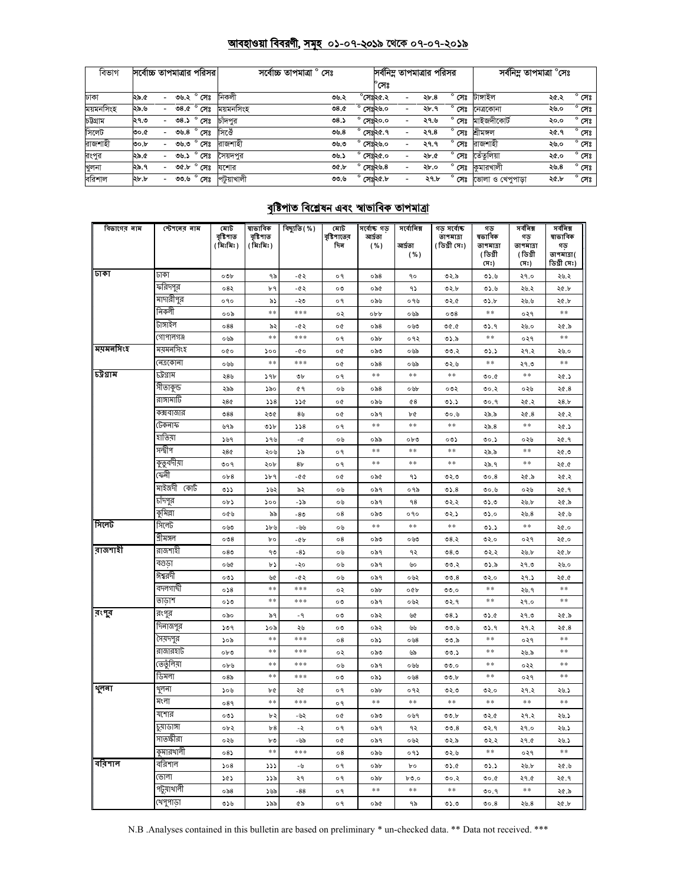### <u> আবহাওয়া বিবরণী, সমূহ ০১-০৭-২০১৯ থেকে ০৭-০৭-২০১৯</u>

| বিভাগ     | সর্বোচ্চ তাপমাত্রার পরিসর। |                          |      |                                                             | সৰ্বোচ্চ তাপমাত্ৰা ° সেঃ |  |             |                    |                  | সর্বনিম্ন তাপমাত্রার পরিসর |                     | সৰ্বনিম্ন তাপমাত্ৰা °সেঃ |      |                |
|-----------|----------------------------|--------------------------|------|-------------------------------------------------------------|--------------------------|--|-------------|--------------------|------------------|----------------------------|---------------------|--------------------------|------|----------------|
|           |                            |                          |      |                                                             |                          |  |             |                    | 'সেঃ             |                            |                     |                          |      |                |
| ঢাকা      | ১.৯.৫                      |                          |      | ৩৬.২ ° সেঃ                                                  | নিকলী                    |  | ৩৬.২        |                    | $^\circ$ সেঃ২৫.২ | ২৮.৪                       | $^{\circ}$ সেঃ      | টাঙ্গাইল                 | ২৫.২ | $^{\circ}$ সেঃ |
| ময়মনসিংহ | ২৯.৬                       | $\overline{\phantom{0}}$ |      | ৩৪.৫ ° সেঃ                                                  | ময়মনসিংহ                |  | 0.8c        |                    | সেঃ২৬.০          | ২৮.৭                       | $^{\circ}$ সেঃ      | নেত্ৰকোনা                | ২৬.০ | $^{\circ}$ সেঃ |
| চউগ্ৰাম   | ২৭.৩                       |                          |      | ৩৪.১ ° সেঃ                                                  | চাঁদপুর                  |  | ৩8.১        | $^{\circ}$ সেঃ২০.০ |                  | ২৭.৬                       | $^{\circ}$ সেঃ      | মাইজদীকোৰ্ট              | ২০.০ | $^{\circ}$ সেঃ |
| সিলেট     | ზ.00                       |                          |      | ৩৬.৪ $^{\circ}$ সেঃ                                         | সিঔে                     |  | ৩৬.৪        | $^{\circ}$ সেঃ২৫.৭ |                  | ২৭.৪                       | $^{\circ}$ সেঃ      | শ্ৰীমঙ্গল                | ২৫.৭ | $^{\circ}$ সেঃ |
| রাজশাহী   | ৩০.৮                       |                          | ৩৬.৩ | $^{\circ}$ সেঃ                                              | রাজশাহী                  |  | ৩৬.৩        | $^{\circ}$ সেঃ২৬.০ |                  | ২৭.৭                       | $^{\circ}$ সেঃ      | রাজশাহী                  | ২৬.০ | $^{\circ}$ সেঃ |
| রংপুর     | ২৯.৫                       | $\overline{\phantom{0}}$ | ৩৬.১ | $^{\circ}$ সেঃ                                              | সৈয়দপর                  |  | ৩৬.১        | $^{\circ}$ সেঃ২৫.০ |                  | ২৮.৫                       | $\degree$ সেঃ       | তেঁতলিয়া                | ২৫.০ | $^{\circ}$ সেঃ |
| খুলনা     | ২৯.৭                       | $\sim$                   |      | ত $\overline{\mathfrak{se}}$ $\overline{\mathfrak{se}}$ পিঃ | যশোর                     |  | <b>OC.b</b> |                    | সেঃ২৬.৪          | ২৮.০                       |                     | <b>° সেঃ</b> কুমারখালী   | ২৬.৪ | $^{\circ}$ সেঃ |
| বরিশাল    | ২৮.৮                       |                          | ৩৩.৬ | $^{\circ}$ সেঃ                                              | পটুয়াখালী               |  | ৩৩.৬        | $^{\circ}$ সেঃ২৫.৮ |                  | ২৭.৮                       | $^{\circ}$ সেঃ $\,$ | ভোলা ও খেপপাডা           | ২৫.৮ | $^{\circ}$ সেঃ |

# <u>বৃষ্টিপাত বিশ্লেষন এবং স্বাভাবিক তাপমাত্রা</u>

| বিভাগের নাম | স্টেশনের নাম | মোট<br>বৃষ্টিপাত<br>( মিঃমিঃ ) | ষাভাবিক<br>বৃষ্টিপাত<br>( মিঃমিঃ ) | বিছ্যুতি ( % ) | মোট<br>বৃষ্টিপাতের<br>দিন | সৰ্বোষ্ক গড<br>আৰ্দ্ৰতা<br>( %) | সৰ্বোনিম্ন<br>আৰ্দতা<br>( %) | গড় সর্বোষ্ক<br>তাপমাত্রা<br>(ডিগ্ৰী সেঃ) | গড<br>ষভাবিক<br>তাপমাত্রা<br>(ডিগ্ৰী | সৰ্বনিম্ন<br>গড়<br>তাপমাত্রা<br>(ডিগ্ৰী | সৰ্বনিম্ন<br>ষাভাবিক<br>গড়<br>তাপমাত্রা( |
|-------------|--------------|--------------------------------|------------------------------------|----------------|---------------------------|---------------------------------|------------------------------|-------------------------------------------|--------------------------------------|------------------------------------------|-------------------------------------------|
| जिका        | ঢাকা         | ০৩৮                            | ৭৯                                 | -65            | o٩                        | ০৯৪                             | ٩o                           | ৩২.৯                                      | (সঃ)<br>0.56                         | (সঃ)<br>২৭.০                             | ডিগ্ৰী সেঃ)<br>২৬.২                       |
|             | ফরিদপুর      | 082                            | ৮৭                                 | -02            | $\circ \circ$             | ০৯৫                             | ۹১                           | ৩২.৮                                      | 0.6                                  | ২৬.২                                     | ২৫.৮                                      |
|             | মাদারীপুর    | 090                            | ৯১                                 | -২৩            | o٩                        | ০৯৬                             | ०१७                          | ৩২.৫                                      | 05.b                                 | ২৬.৬                                     | ২৫.৮                                      |
|             | নিকলী        | ००৯                            | $\ast$                             | ***            | ०२                        | obb                             | ০৬৯                          | 008                                       | $\ast$                               | ०२१                                      | $\ast$                                    |
|             | টাঙ্গাইল     | 088                            | ৯২                                 | -65            | o¢                        | ০ ৯৪                            | ০৬৩                          | 0.90                                      | ৩১.৭                                 | ২৬.০                                     | ২৫.৯                                      |
|             | গোপালগঞ্জ    | ০৬৯                            | $\ast$ $\ast$                      | ***            | ο٩                        | ০৯৮                             | ०१२                          | ৩১.৯                                      | $\ast$ $\ast$                        | ०२१                                      | $\ast$ $\ast$                             |
| ময়মনসিংহ   | ময়মনসিংহ    | 000                            | 500                                | $-00$          | o¢                        | ০৯৩                             | ০৬৯                          | 00.2                                      | 05.5                                 | ২৭.২                                     | ২৬.০                                      |
|             | নেত্ৰকোনা    | ০৬৬                            | $\ast$                             | ***            | o¢                        | ০৯৪                             | ০৬৯                          | ৩২.৬                                      | $\ast$ $\ast$                        | ২৭.৩                                     | **                                        |
| চট্ৰগ্ৰাম   | ঢট্রগ্রাম    | ২৪৬                            | 59b                                | ৩৮             | o٩                        | $\ast$                          | $\ast$                       | $\ast$                                    | 0.00                                 | $\ast$                                   | ২৫.১                                      |
|             | সীতাকুন্ড    | ২৯৯                            | ১৯০                                | 69             | ০৬                        | ০৯৪                             | ০৬৮                          | ০৩২                                       | 00.3                                 | ০২৬                                      | 20.8                                      |
|             | রাঙ্গামার্টি | 28¢                            | 558                                | 226            | o¢                        | ০৯৬                             | 68                           | 03.5                                      | 00.9                                 | ২৫.২                                     | 28.5                                      |
|             | কক্সবাজার    | 088                            | ২৩৫                                | 8 <sub>0</sub> | o¢                        | ০৯৭                             | ৮৫                           | 0.00                                      | ২৯.৯                                 | 20.8                                     | ২৫.২                                      |
|             | টেকনাফ       | ৬৭৯                            | ৩১৮                                | 558            | ο٩                        | $\ast$                          | **                           | $\pm$ $\pm$                               | 25.8                                 | $\ast$                                   | ২৫.১                                      |
|             | হাতিয়া      | ১৬৭                            | 599                                | - 0            | ০৬                        | ০৯৯                             | ০৮৩                          | ০৩১                                       | 00.5                                 | ০২৬                                      | ২৫.৭                                      |
|             | সন্দ্বীপ     | 280                            | ২০৬                                | ১৯             | ο٩                        | **                              | **                           | $\ast$ $\ast$                             | ২৯.৯                                 | $\ast$ $\ast$                            | ২৫.৩                                      |
|             | কুতুবদীয়া   | ৩০৭                            | ২০৮                                | 8 <sub>b</sub> | 09                        | **                              | **                           | $\ast\ast$                                | ২৯.৭                                 | **                                       | ১. ১২                                     |
|             | ফেনী         | 0b8                            | ১৮৭                                | - ৫ ৫          | o¢                        | ০৯৫                             | ۹১                           | ৩২.৩                                      | 00.8                                 | ২৫.৯                                     | ২৫.২                                      |
|             | মাইজদী কোট   | 055                            | ১৬২                                | ৯২             | ০৬                        | ০৯৭                             | ०१৯                          | 05.8                                      | 0.60                                 | ০২৬                                      | ২৫.৭                                      |
|             | চাঁদপুর      | ob3                            | 500                                | -১৯            | ০৬                        | ০৯৭                             | 98                           | ৩২.২                                      | 0.0                                  | ২৬.৮                                     | ২৫.৯                                      |
|             | কুমিল্লা     | ০৫৬                            | ৯৯                                 | -80            | о8                        | ০৯৩                             | ०१०                          | ৩২.১                                      | ৩১.০                                 | ২৬.৪                                     | ২৫.৬                                      |
| । সিলেট     | সিলেট        | ০৬৩                            | ১৮৬                                | - ৬৬           | ০৬                        | **                              | $\ast$                       | $\ast$ $\ast$                             | 05.5                                 | **                                       | ২৫.০                                      |
|             | শ্ৰীমঙ্গল    | 008                            | bο                                 | -46            | ο8                        | ০৯৩                             | ০৬৩                          | ৩৪.২                                      | ৩২.০                                 | ०२१                                      | ২৫.০                                      |
| রাজশাহী     | রাজশাহী      | 080                            | ۹৩                                 | $-85$          | ০৬                        | ০৯৭                             | ৭২                           | 0.80                                      | ৩২.২                                 | ২৬.৮                                     | ২৫.৮                                      |
|             | বগুড়া       | ০৬৫                            | ৮১                                 | -২০            | ০৬                        | ০৯৭                             | ৬০                           | ৩৩.২                                      | ৩১.৯                                 | ২৭.৩                                     | ২৬.০                                      |
|             | ঈশ্বরদী      | ০৩১                            | ৬৫                                 | -62            | ০৬                        | ০৯৭                             | ০৬২                          | 00.8                                      | ৩২.০                                 | ২৭.১                                     | 20.0                                      |
|             | বদলগাঘী      | 0.58                           | $* *$                              | ***            | ०२                        | ০৯৮                             | ०৫৮                          | 0.00                                      | $**$                                 | ২৬.৭                                     | $**$                                      |
|             | তাডাশ        | 050                            | $\ast$ $\ast$                      | ***            | ০৩                        | ০৯৭                             | ০৬২                          | ৩২.৭                                      | **                                   | ২৭.০                                     | $\ast$ $\ast$                             |
| রংপুর       | রংপুর        | ০৯০                            | ৯৭                                 | $-9$           | ০৩                        | ০৯২                             | ৬৫                           | 08.5                                      | 05.6                                 | ২৭.৩                                     | ২৫.৯                                      |
|             | দিনাজপুর     | 509                            | ১০৯                                | ২৬             | ০৩                        | ০৯২                             | ৬৬                           | ৩৩.৬                                      | ৩১.৭                                 | ২৭.২                                     | 20.8                                      |
|             | সৈয়দপুর     | ১০৯                            | $\ast$                             | ***            | $\circ$ 8                 | ০৯১                             | 0.58                         | ৩৩.৯                                      | **                                   | ०२१                                      | $\ast$                                    |
|             | রাজারহাট     | ০৮৩                            | $\ast$ $\ast$                      | ***            | ०२                        | ০৯৩                             | ৬৯                           | ৩৩.১                                      | **                                   | ২৬.৯                                     | **                                        |
|             | তেতুঁলিয়া   | ০৮৬                            | $\ast$                             | ***            | ০৬                        | ০৯৭                             | ০৬৬                          | 0.0                                       | $\ast$                               | ০২২                                      | $\ast$                                    |
|             | ডিমলা        | 08 <sub>o</sub>                | $\ast$                             | ***            | ০৩                        | ০৯১                             | ०७8                          | 00.b                                      | $\ast$                               | ०२१                                      | $\ast$                                    |
| থুলনা       | থুলনা        | ১০৬                            | b¢                                 | ২৫             | ο٩                        | ০৯৮                             | ०१२                          | ৩২.৩                                      | ৩২.০                                 | ২৭.২                                     | ২৬.১                                      |
|             | মংলা         | 089                            | $\ast$ $\ast$                      | ***            | ο٩                        | **                              | **                           | **                                        | **                                   | **                                       | $\ast$ $\ast$                             |
|             | যশোর         | ০৩১                            | ৮২                                 | -৬২            | o¢                        | ০৯৩                             | ०७१                          | 00.b                                      | 0.50                                 | ২৭.২                                     | ২৬.১                                      |
|             | ঢ়মাডাঙ্গা   | ০৮২                            | b8                                 | -২             | o٩                        | ০৯৭                             | ৭২                           | 00.8                                      | ৩২.৭                                 | ২৭.০                                     | ২৬.১                                      |
|             | সাতক্ষীরা    | ০২৬                            | ৮৩                                 | -৬৯            | o¢                        | ০৯৭                             | ০৬২                          | ৩২.৯                                      | ৩২.২                                 | ২৭.৫                                     | ২৬.১                                      |
|             | কুমারখালী    | 08                             | $\ast$                             | ***            | ο8                        | ০৯৬                             | ०१১                          | ৩২.৬                                      | $\ast$                               | ०२१                                      | $\ast$                                    |
| বরিশাল      | বরিশাল       | 508                            | ددد                                | -৬             | o٩                        | ০৯৮                             | bο                           | 0.60                                      | 05.5                                 | ২৬.৮                                     | ২৫.৬                                      |
|             | ভোলা         | 505                            | ১১৯                                | ২৭             | ο۹                        | ০৯৮                             | b.00                         | ৩০.২                                      | 0.00                                 | ২৭.৫                                     | ২৫.৭                                      |
|             | পটুয়াথালী   | $\circ$ ৯8                     | ১৬৯                                | $-88$          | ο٩                        | $* *$                           | $\ast$ $\ast$                | $\ast$ $\ast$                             | 00.9                                 | **                                       | ২৫.৯                                      |
|             | খেপুপাড়া    | ৩১৬                            | ১৯৯                                | ৫৯             | ο۹                        | ০৯৫                             | ৭৯                           | 0.0                                       | 00.8                                 | ২৬.৪                                     | ২৫.৮                                      |

N.B .Analyses contained in this bulletin are based on preliminary \* un-checked data. \*\* Data not received. \*\*\*